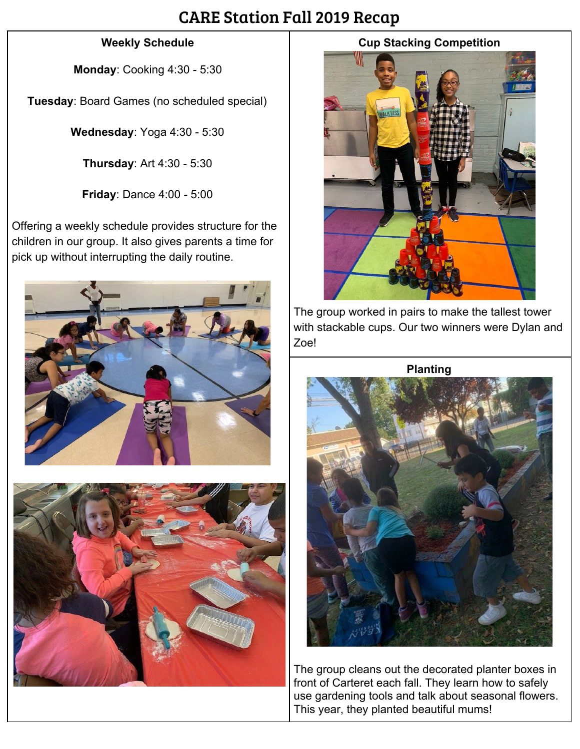### CARE Station Fall 2019 Recap

#### **Weekly Schedule**

**Monday**: Cooking 4:30 - 5:30

**Tuesday**: Board Games (no scheduled special)

**Wednesday**: Yoga 4:30 - 5:30

**Thursday**: Art 4:30 - 5:30

**Friday**: Dance 4:00 - 5:00

Offering a weekly schedule provides structure for the children in our group. It also gives parents a time for pick up without interrupting the daily routine.





### **Cup Stacking Competition**



The group worked in pairs to make the tallest tower with stackable cups. Our two winners were Dylan and Zoe!

**Planting**



The group cleans out the decorated planter boxes in front of Carteret each fall. They learn how to safely use gardening tools and talk about seasonal flowers. This year, they planted beautiful mums!